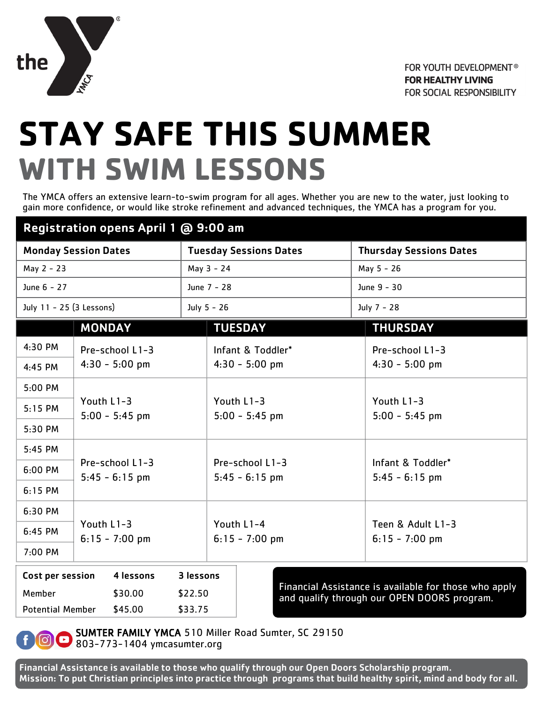

# **STAY SAFE THIS SUMMER WITH SWIM LESSONS**

The YMCA offers an extensive learn-to-swim program for all ages. Whether you are new to the water, just looking to gain more confidence, or would like stroke refinement and advanced techniques, the YMCA has a program for you.

| Registration opens April 1 @ 9:00 am |                                     |                                     |                                |                                                                                                      |  |
|--------------------------------------|-------------------------------------|-------------------------------------|--------------------------------|------------------------------------------------------------------------------------------------------|--|
| <b>Monday Session Dates</b>          |                                     | <b>Tuesday Sessions Dates</b>       |                                | <b>Thursday Sessions Dates</b>                                                                       |  |
| May 2 - 23                           |                                     | May 3 - 24                          |                                | May 5 - 26                                                                                           |  |
| June 6 - 27                          |                                     | June 7 - 28                         |                                | June 9 - 30                                                                                          |  |
| July 11 - 25 (3 Lessons)             |                                     | July 5 - 26                         |                                | July 7 - 28                                                                                          |  |
|                                      | <b>MONDAY</b>                       |                                     | <b>TUESDAY</b>                 | <b>THURSDAY</b>                                                                                      |  |
| 4:30 PM                              | Pre-school L1-3                     |                                     | Infant & Toddler*              | Pre-school L1-3                                                                                      |  |
| $4:45$ PM                            | $4:30 - 5:00$ pm                    |                                     | $4:30 - 5:00$ pm               | $4:30 - 5:00$ pm                                                                                     |  |
| 5:00 PM                              |                                     |                                     |                                |                                                                                                      |  |
| $5:15$ PM                            | Youth L1-3<br>$5:00 - 5:45$ pm      |                                     | Youth L1-3<br>$5:00 - 5:45$ pm | Youth L1-3<br>$5:00 - 5:45$ pm                                                                       |  |
| 5:30 PM                              |                                     |                                     |                                |                                                                                                      |  |
| 5:45 PM                              |                                     |                                     |                                |                                                                                                      |  |
| $6:00$ PM                            | Pre-school L1-3<br>$5:45 - 6:15$ pm | Pre-school L1-3<br>$5:45 - 6:15$ pm |                                | Infant & Toddler*<br>$5:45 - 6:15$ pm                                                                |  |
| $6:15$ PM                            |                                     |                                     |                                |                                                                                                      |  |
| 6:30 PM                              |                                     |                                     |                                |                                                                                                      |  |
| 6:45 PM                              | Youth L1-3<br>$6:15 - 7:00$ pm      |                                     | Youth L1-4<br>$6:15 - 7:00$ pm | Teen & Adult L1-3<br>$6:15 - 7:00$ pm                                                                |  |
| 7:00 PM                              |                                     |                                     |                                |                                                                                                      |  |
| Cost per session<br>4 lessons        |                                     | 3 lessons                           |                                |                                                                                                      |  |
| Member                               | \$30.00                             | \$22.50                             |                                | Financial Assistance is available for those who apply<br>and qualify through our OPEN DOORS program. |  |
| <b>Potential Member</b>              | \$45.00                             | \$33.75                             |                                |                                                                                                      |  |

SUMTER FAMILY YMCA 510 Miller Road Sumter, SC 29150  $\blacksquare$ 803-773-1404 ymcasumter.org

Financial Assistance is available to those who qualify through our Open Doors Scholarship program. Mission: To put Christian principles into practice through programs that build healthy spirit, mind and body for all.